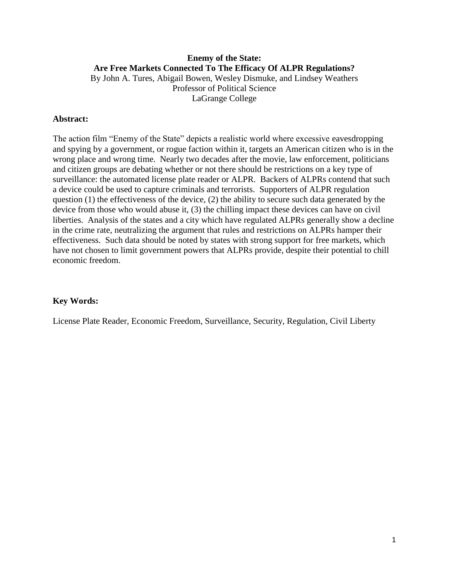## **Enemy of the State: Are Free Markets Connected To The Efficacy Of ALPR Regulations?** By John A. Tures, Abigail Bowen, Wesley Dismuke, and Lindsey Weathers Professor of Political Science LaGrange College

## **Abstract:**

The action film "Enemy of the State" depicts a realistic world where excessive eavesdropping and spying by a government, or rogue faction within it, targets an American citizen who is in the wrong place and wrong time. Nearly two decades after the movie, law enforcement, politicians and citizen groups are debating whether or not there should be restrictions on a key type of surveillance: the automated license plate reader or ALPR. Backers of ALPRs contend that such a device could be used to capture criminals and terrorists. Supporters of ALPR regulation question  $(1)$  the effectiveness of the device,  $(2)$  the ability to secure such data generated by the device from those who would abuse it, (3) the chilling impact these devices can have on civil liberties. Analysis of the states and a city which have regulated ALPRs generally show a decline in the crime rate, neutralizing the argument that rules and restrictions on ALPRs hamper their effectiveness. Such data should be noted by states with strong support for free markets, which have not chosen to limit government powers that ALPRs provide, despite their potential to chill economic freedom.

### **Key Words:**

License Plate Reader, Economic Freedom, Surveillance, Security, Regulation, Civil Liberty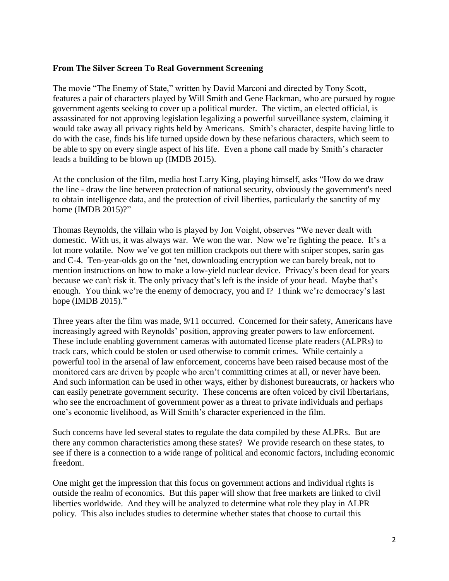### **From The Silver Screen To Real Government Screening**

The movie "The Enemy of State," written by David Marconi and directed by Tony Scott, features a pair of characters played by Will Smith and Gene Hackman, who are pursued by rogue government agents seeking to cover up a political murder. The victim, an elected official, is assassinated for not approving legislation legalizing a powerful surveillance system, claiming it would take away all privacy rights held by Americans. Smith's character, despite having little to do with the case, finds his life turned upside down by these nefarious characters, which seem to be able to spy on every single aspect of his life. Even a phone call made by Smith's character leads a building to be blown up (IMDB 2015).

At the conclusion of the film, media host Larry King, playing himself, asks "How do we draw the line - draw the line between protection of national security, obviously the government's need to obtain intelligence data, and the protection of civil liberties, particularly the sanctity of my home (IMDB 2015)?"

Thomas Reynolds, the villain who is played by Jon Voight, observes "We never dealt with domestic. With us, it was always war. We won the war. Now we're fighting the peace. It's a lot more volatile. Now we've got ten million crackpots out there with sniper scopes, sarin gas and C-4. Ten-year-olds go on the 'net, downloading encryption we can barely break, not to mention instructions on how to make a low-yield nuclear device. Privacy's been dead for years because we can't risk it. The only privacy that's left is the inside of your head. Maybe that's enough. You think we're the enemy of democracy, you and I? I think we're democracy's last hope (IMDB 2015)."

Three years after the film was made, 9/11 occurred. Concerned for their safety, Americans have increasingly agreed with Reynolds' position, approving greater powers to law enforcement. These include enabling government cameras with automated license plate readers (ALPRs) to track cars, which could be stolen or used otherwise to commit crimes. While certainly a powerful tool in the arsenal of law enforcement, concerns have been raised because most of the monitored cars are driven by people who aren't committing crimes at all, or never have been. And such information can be used in other ways, either by dishonest bureaucrats, or hackers who can easily penetrate government security. These concerns are often voiced by civil libertarians, who see the encroachment of government power as a threat to private individuals and perhaps one's economic livelihood, as Will Smith's character experienced in the film.

Such concerns have led several states to regulate the data compiled by these ALPRs. But are there any common characteristics among these states? We provide research on these states, to see if there is a connection to a wide range of political and economic factors, including economic freedom.

One might get the impression that this focus on government actions and individual rights is outside the realm of economics. But this paper will show that free markets are linked to civil liberties worldwide. And they will be analyzed to determine what role they play in ALPR policy. This also includes studies to determine whether states that choose to curtail this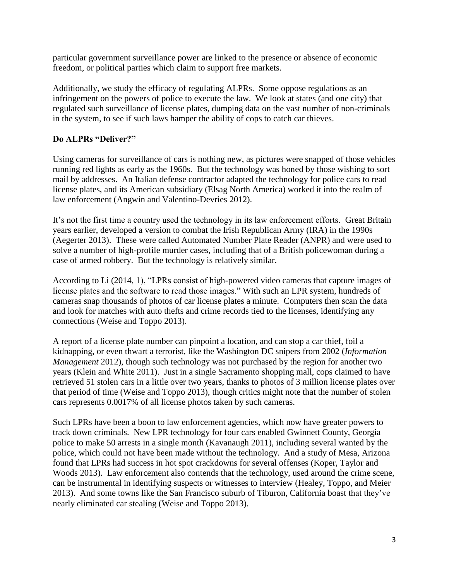particular government surveillance power are linked to the presence or absence of economic freedom, or political parties which claim to support free markets.

Additionally, we study the efficacy of regulating ALPRs. Some oppose regulations as an infringement on the powers of police to execute the law. We look at states (and one city) that regulated such surveillance of license plates, dumping data on the vast number of non-criminals in the system, to see if such laws hamper the ability of cops to catch car thieves.

# **Do ALPRs "Deliver?"**

Using cameras for surveillance of cars is nothing new, as pictures were snapped of those vehicles running red lights as early as the 1960s. But the technology was honed by those wishing to sort mail by addresses. An Italian defense contractor adapted the technology for police cars to read license plates, and its American subsidiary (Elsag North America) worked it into the realm of law enforcement (Angwin and Valentino-Devries 2012).

It's not the first time a country used the technology in its law enforcement efforts. Great Britain years earlier, developed a version to combat the Irish Republican Army (IRA) in the 1990s (Aegerter 2013). These were called Automated Number Plate Reader (ANPR) and were used to solve a number of high-profile murder cases, including that of a British policewoman during a case of armed robbery. But the technology is relatively similar.

According to Li (2014, 1), "LPRs consist of high-powered video cameras that capture images of license plates and the software to read those images." With such an LPR system, hundreds of cameras snap thousands of photos of car license plates a minute. Computers then scan the data and look for matches with auto thefts and crime records tied to the licenses, identifying any connections (Weise and Toppo 2013).

A report of a license plate number can pinpoint a location, and can stop a car thief, foil a kidnapping, or even thwart a terrorist, like the Washington DC snipers from 2002 (*Information Management* 2012), though such technology was not purchased by the region for another two years (Klein and White 2011). Just in a single Sacramento shopping mall, cops claimed to have retrieved 51 stolen cars in a little over two years, thanks to photos of 3 million license plates over that period of time (Weise and Toppo 2013), though critics might note that the number of stolen cars represents 0.0017% of all license photos taken by such cameras.

Such LPRs have been a boon to law enforcement agencies, which now have greater powers to track down criminals. New LPR technology for four cars enabled Gwinnett County, Georgia police to make 50 arrests in a single month (Kavanaugh 2011), including several wanted by the police, which could not have been made without the technology. And a study of Mesa, Arizona found that LPRs had success in hot spot crackdowns for several offenses (Koper, Taylor and Woods 2013). Law enforcement also contends that the technology, used around the crime scene, can be instrumental in identifying suspects or witnesses to interview (Healey, Toppo, and Meier 2013). And some towns like the San Francisco suburb of Tiburon, California boast that they've nearly eliminated car stealing (Weise and Toppo 2013).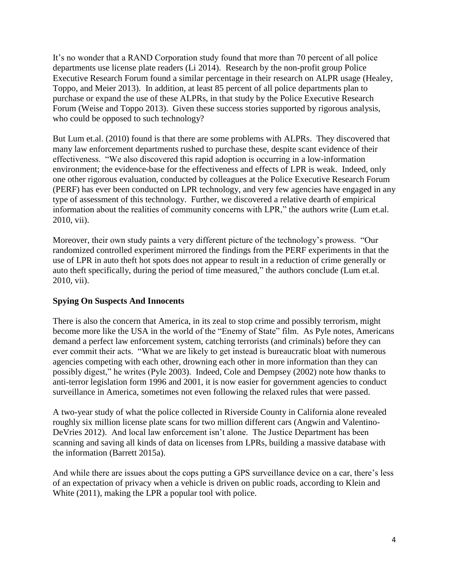It's no wonder that a RAND Corporation study found that more than 70 percent of all police departments use license plate readers (Li 2014). Research by the non-profit group Police Executive Research Forum found a similar percentage in their research on ALPR usage (Healey, Toppo, and Meier 2013). In addition, at least 85 percent of all police departments plan to purchase or expand the use of these ALPRs, in that study by the Police Executive Research Forum (Weise and Toppo 2013). Given these success stories supported by rigorous analysis, who could be opposed to such technology?

But Lum et.al. (2010) found is that there are some problems with ALPRs. They discovered that many law enforcement departments rushed to purchase these, despite scant evidence of their effectiveness. "We also discovered this rapid adoption is occurring in a low-information environment; the evidence-base for the effectiveness and effects of LPR is weak. Indeed, only one other rigorous evaluation, conducted by colleagues at the Police Executive Research Forum (PERF) has ever been conducted on LPR technology, and very few agencies have engaged in any type of assessment of this technology. Further, we discovered a relative dearth of empirical information about the realities of community concerns with LPR," the authors write (Lum et.al. 2010, vii).

Moreover, their own study paints a very different picture of the technology's prowess. "Our randomized controlled experiment mirrored the findings from the PERF experiments in that the use of LPR in auto theft hot spots does not appear to result in a reduction of crime generally or auto theft specifically, during the period of time measured," the authors conclude (Lum et.al. 2010, vii).

# **Spying On Suspects And Innocents**

There is also the concern that America, in its zeal to stop crime and possibly terrorism, might become more like the USA in the world of the "Enemy of State" film. As Pyle notes, Americans demand a perfect law enforcement system, catching terrorists (and criminals) before they can ever commit their acts. "What we are likely to get instead is bureaucratic bloat with numerous agencies competing with each other, drowning each other in more information than they can possibly digest," he writes (Pyle 2003). Indeed, Cole and Dempsey (2002) note how thanks to anti-terror legislation form 1996 and 2001, it is now easier for government agencies to conduct surveillance in America, sometimes not even following the relaxed rules that were passed.

A two-year study of what the police collected in Riverside County in California alone revealed roughly six million license plate scans for two million different cars (Angwin and Valentino-DeVries 2012). And local law enforcement isn't alone. The Justice Department has been scanning and saving all kinds of data on licenses from LPRs, building a massive database with the information (Barrett 2015a).

And while there are issues about the cops putting a GPS surveillance device on a car, there's less of an expectation of privacy when a vehicle is driven on public roads, according to Klein and White (2011), making the LPR a popular tool with police.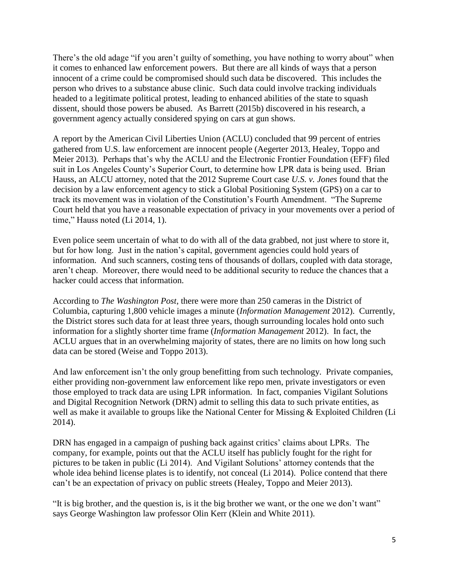There's the old adage "if you aren't guilty of something, you have nothing to worry about" when it comes to enhanced law enforcement powers. But there are all kinds of ways that a person innocent of a crime could be compromised should such data be discovered. This includes the person who drives to a substance abuse clinic. Such data could involve tracking individuals headed to a legitimate political protest, leading to enhanced abilities of the state to squash dissent, should those powers be abused. As Barrett (2015b) discovered in his research, a government agency actually considered spying on cars at gun shows.

A report by the American Civil Liberties Union (ACLU) concluded that 99 percent of entries gathered from U.S. law enforcement are innocent people (Aegerter 2013, Healey, Toppo and Meier 2013). Perhaps that's why the ACLU and the Electronic Frontier Foundation (EFF) filed suit in Los Angeles County's Superior Court, to determine how LPR data is being used. Brian Hauss, an ALCU attorney, noted that the 2012 Supreme Court case *U.S. v. Jones* found that the decision by a law enforcement agency to stick a Global Positioning System (GPS) on a car to track its movement was in violation of the Constitution's Fourth Amendment. "The Supreme Court held that you have a reasonable expectation of privacy in your movements over a period of time," Hauss noted (Li 2014, 1).

Even police seem uncertain of what to do with all of the data grabbed, not just where to store it, but for how long. Just in the nation's capital, government agencies could hold years of information. And such scanners, costing tens of thousands of dollars, coupled with data storage, aren't cheap. Moreover, there would need to be additional security to reduce the chances that a hacker could access that information.

According to *The Washington Post*, there were more than 250 cameras in the District of Columbia, capturing 1,800 vehicle images a minute (*Information Management* 2012). Currently, the District stores such data for at least three years, though surrounding locales hold onto such information for a slightly shorter time frame (*Information Management* 2012). In fact, the ACLU argues that in an overwhelming majority of states, there are no limits on how long such data can be stored (Weise and Toppo 2013).

And law enforcement isn't the only group benefitting from such technology. Private companies, either providing non-government law enforcement like repo men, private investigators or even those employed to track data are using LPR information. In fact, companies Vigilant Solutions and Digital Recognition Network (DRN) admit to selling this data to such private entities, as well as make it available to groups like the National Center for Missing & Exploited Children (Li 2014).

DRN has engaged in a campaign of pushing back against critics' claims about LPRs. The company, for example, points out that the ACLU itself has publicly fought for the right for pictures to be taken in public (Li 2014). And Vigilant Solutions' attorney contends that the whole idea behind license plates is to identify, not conceal (Li 2014). Police contend that there can't be an expectation of privacy on public streets (Healey, Toppo and Meier 2013).

"It is big brother, and the question is, is it the big brother we want, or the one we don't want" says George Washington law professor Olin Kerr (Klein and White 2011).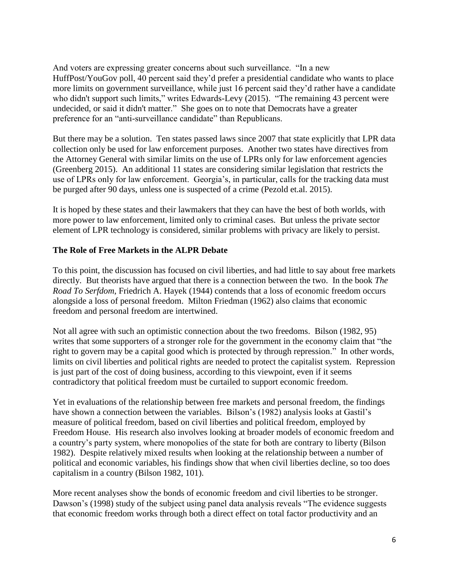And voters are expressing greater concerns about such surveillance. "In a new HuffPost/YouGov poll, 40 percent said they'd prefer a presidential candidate who wants to place more limits on government surveillance, while just 16 percent said they'd rather have a candidate who didn't support such limits," writes Edwards-Levy (2015). "The remaining 43 percent were undecided, or said it didn't matter." She goes on to note that Democrats have a greater preference for an "anti-surveillance candidate" than Republicans.

But there may be a solution. Ten states passed laws since 2007 that state explicitly that LPR data collection only be used for law enforcement purposes. Another two states have directives from the Attorney General with similar limits on the use of LPRs only for law enforcement agencies (Greenberg 2015). An additional 11 states are considering similar legislation that restricts the use of LPRs only for law enforcement. Georgia's, in particular, calls for the tracking data must be purged after 90 days, unless one is suspected of a crime (Pezold et.al. 2015).

It is hoped by these states and their lawmakers that they can have the best of both worlds, with more power to law enforcement, limited only to criminal cases. But unless the private sector element of LPR technology is considered, similar problems with privacy are likely to persist.

# **The Role of Free Markets in the ALPR Debate**

To this point, the discussion has focused on civil liberties, and had little to say about free markets directly. But theorists have argued that there is a connection between the two. In the book *The Road To Serfdom*, Friedrich A. Hayek (1944) contends that a loss of economic freedom occurs alongside a loss of personal freedom. Milton Friedman (1962) also claims that economic freedom and personal freedom are intertwined.

Not all agree with such an optimistic connection about the two freedoms. Bilson (1982, 95) writes that some supporters of a stronger role for the government in the economy claim that "the right to govern may be a capital good which is protected by through repression." In other words, limits on civil liberties and political rights are needed to protect the capitalist system. Repression is just part of the cost of doing business, according to this viewpoint, even if it seems contradictory that political freedom must be curtailed to support economic freedom.

Yet in evaluations of the relationship between free markets and personal freedom, the findings have shown a connection between the variables. Bilson's (1982) analysis looks at Gastil's measure of political freedom, based on civil liberties and political freedom, employed by Freedom House. His research also involves looking at broader models of economic freedom and a country's party system, where monopolies of the state for both are contrary to liberty (Bilson 1982). Despite relatively mixed results when looking at the relationship between a number of political and economic variables, his findings show that when civil liberties decline, so too does capitalism in a country (Bilson 1982, 101).

More recent analyses show the bonds of economic freedom and civil liberties to be stronger. Dawson's (1998) study of the subject using panel data analysis reveals "The evidence suggests that economic freedom works through both a direct effect on total factor productivity and an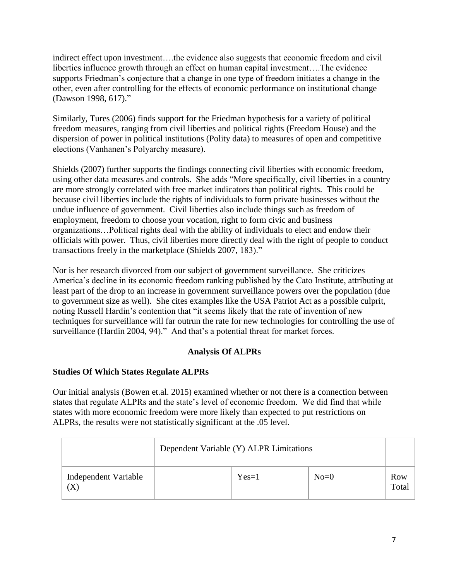indirect effect upon investment….the evidence also suggests that economic freedom and civil liberties influence growth through an effect on human capital investment….The evidence supports Friedman's conjecture that a change in one type of freedom initiates a change in the other, even after controlling for the effects of economic performance on institutional change (Dawson 1998, 617)."

Similarly, Tures (2006) finds support for the Friedman hypothesis for a variety of political freedom measures, ranging from civil liberties and political rights (Freedom House) and the dispersion of power in political institutions (Polity data) to measures of open and competitive elections (Vanhanen's Polyarchy measure).

Shields (2007) further supports the findings connecting civil liberties with economic freedom, using other data measures and controls. She adds "More specifically, civil liberties in a country are more strongly correlated with free market indicators than political rights. This could be because civil liberties include the rights of individuals to form private businesses without the undue influence of government. Civil liberties also include things such as freedom of employment, freedom to choose your vocation, right to form civic and business organizations…Political rights deal with the ability of individuals to elect and endow their officials with power. Thus, civil liberties more directly deal with the right of people to conduct transactions freely in the marketplace (Shields 2007, 183)."

Nor is her research divorced from our subject of government surveillance. She criticizes America's decline in its economic freedom ranking published by the Cato Institute, attributing at least part of the drop to an increase in government surveillance powers over the population (due to government size as well). She cites examples like the USA Patriot Act as a possible culprit, noting Russell Hardin's contention that "it seems likely that the rate of invention of new techniques for surveillance will far outrun the rate for new technologies for controlling the use of surveillance (Hardin 2004, 94)." And that's a potential threat for market forces.

# **Analysis Of ALPRs**

# **Studies Of Which States Regulate ALPRs**

Our initial analysis (Bowen et.al. 2015) examined whether or not there is a connection between states that regulate ALPRs and the state's level of economic freedom. We did find that while states with more economic freedom were more likely than expected to put restrictions on ALPRs, the results were not statistically significant at the .05 level.

|                             | Dependent Variable (Y) ALPR Limitations |         |        |              |
|-----------------------------|-----------------------------------------|---------|--------|--------------|
| Independent Variable<br>(X, |                                         | $Yes=1$ | $No=0$ | Row<br>Total |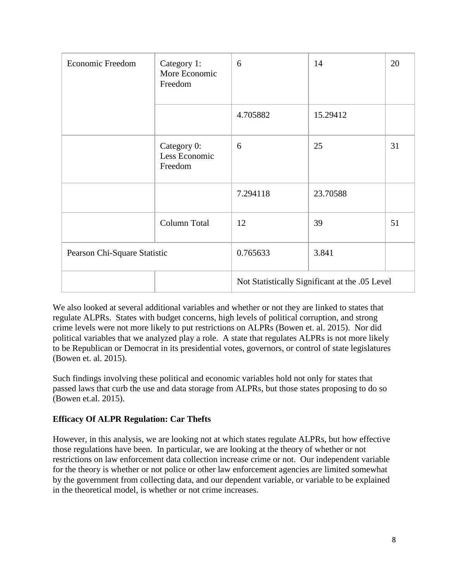| <b>Economic Freedom</b>      | Category 1:<br>More Economic<br>Freedom | 6                                              | 14       | 20 |
|------------------------------|-----------------------------------------|------------------------------------------------|----------|----|
|                              |                                         | 4.705882                                       | 15.29412 |    |
|                              | Category 0:<br>Less Economic<br>Freedom | 6                                              | 25       | 31 |
|                              |                                         | 7.294118                                       | 23.70588 |    |
|                              | Column Total                            | 12                                             | 39       | 51 |
| Pearson Chi-Square Statistic |                                         | 0.765633                                       | 3.841    |    |
|                              |                                         | Not Statistically Significant at the .05 Level |          |    |

We also looked at several additional variables and whether or not they are linked to states that regulate ALPRs. States with budget concerns, high levels of political corruption, and strong crime levels were not more likely to put restrictions on ALPRs (Bowen et. al. 2015). Nor did political variables that we analyzed play a role. A state that regulates ALPRs is not more likely to be Republican or Democrat in its presidential votes, governors, or control of state legislatures (Bowen et. al. 2015).

Such findings involving these political and economic variables hold not only for states that passed laws that curb the use and data storage from ALPRs, but those states proposing to do so (Bowen et.al. 2015).

# **Efficacy Of ALPR Regulation: Car Thefts**

However, in this analysis, we are looking not at which states regulate ALPRs, but how effective those regulations have been. In particular, we are looking at the theory of whether or not restrictions on law enforcement data collection increase crime or not. Our independent variable for the theory is whether or not police or other law enforcement agencies are limited somewhat by the government from collecting data, and our dependent variable, or variable to be explained in the theoretical model, is whether or not crime increases.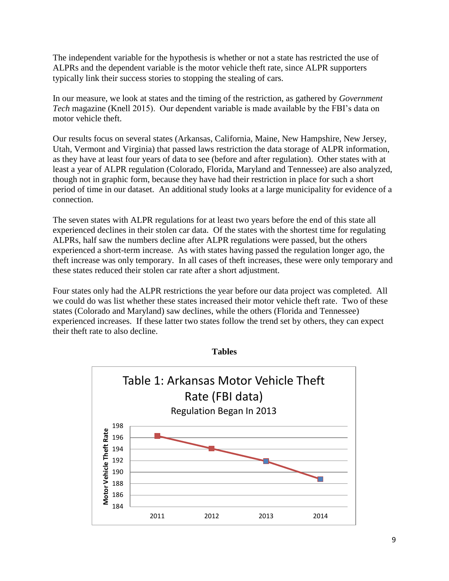The independent variable for the hypothesis is whether or not a state has restricted the use of ALPRs and the dependent variable is the motor vehicle theft rate, since ALPR supporters typically link their success stories to stopping the stealing of cars.

In our measure, we look at states and the timing of the restriction, as gathered by *Government Tech* magazine (Knell 2015). Our dependent variable is made available by the FBI's data on motor vehicle theft.

Our results focus on several states (Arkansas, California, Maine, New Hampshire, New Jersey, Utah, Vermont and Virginia) that passed laws restriction the data storage of ALPR information, as they have at least four years of data to see (before and after regulation). Other states with at least a year of ALPR regulation (Colorado, Florida, Maryland and Tennessee) are also analyzed, though not in graphic form, because they have had their restriction in place for such a short period of time in our dataset. An additional study looks at a large municipality for evidence of a connection.

The seven states with ALPR regulations for at least two years before the end of this state all experienced declines in their stolen car data. Of the states with the shortest time for regulating ALPRs, half saw the numbers decline after ALPR regulations were passed, but the others experienced a short-term increase. As with states having passed the regulation longer ago, the theft increase was only temporary. In all cases of theft increases, these were only temporary and these states reduced their stolen car rate after a short adjustment.

Four states only had the ALPR restrictions the year before our data project was completed. All we could do was list whether these states increased their motor vehicle theft rate. Two of these states (Colorado and Maryland) saw declines, while the others (Florida and Tennessee) experienced increases. If these latter two states follow the trend set by others, they can expect their theft rate to also decline.



**Tables**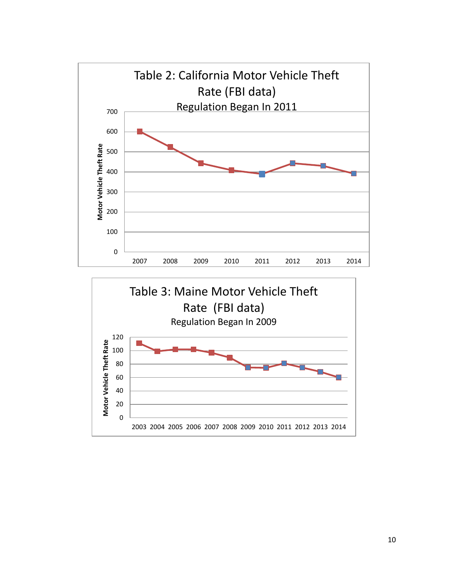

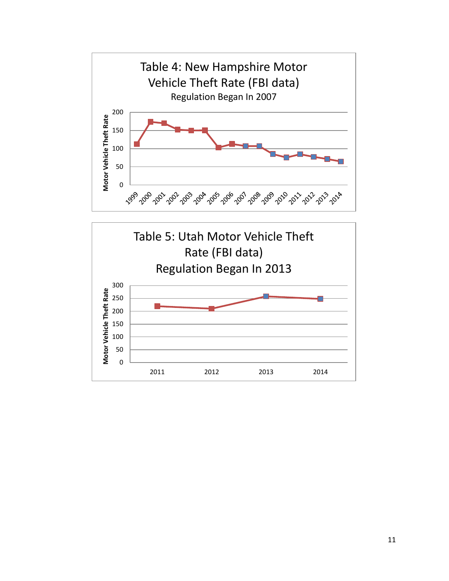

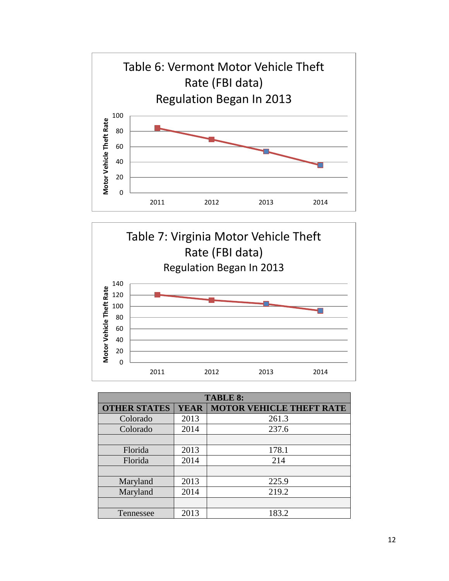



| <b>TABLE 8:</b>     |             |                                 |  |  |
|---------------------|-------------|---------------------------------|--|--|
| <b>OTHER STATES</b> | <b>YEAR</b> | <b>MOTOR VEHICLE THEFT RATE</b> |  |  |
| Colorado            | 2013        | 261.3                           |  |  |
| Colorado            | 2014        | 237.6                           |  |  |
|                     |             |                                 |  |  |
| Florida             | 2013        | 178.1                           |  |  |
| Florida             | 2014        | 214                             |  |  |
|                     |             |                                 |  |  |
| Maryland            | 2013        | 225.9                           |  |  |
| Maryland            | 2014        | 219.2                           |  |  |
|                     |             |                                 |  |  |
| Tennessee           | 2013        | 183.2                           |  |  |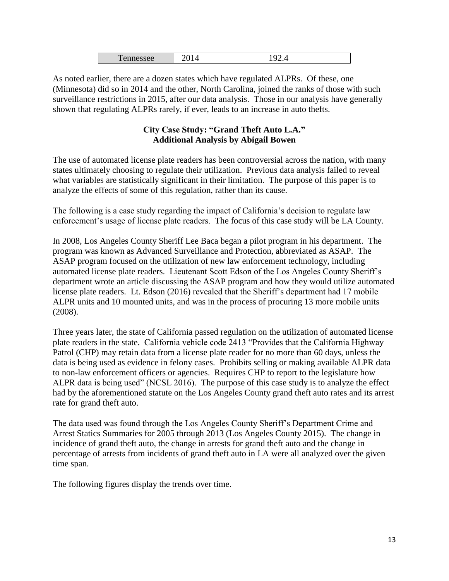| _<br>. .<br>-- |  |  |
|----------------|--|--|
|----------------|--|--|

As noted earlier, there are a dozen states which have regulated ALPRs. Of these, one (Minnesota) did so in 2014 and the other, North Carolina, joined the ranks of those with such surveillance restrictions in 2015, after our data analysis. Those in our analysis have generally shown that regulating ALPRs rarely, if ever, leads to an increase in auto thefts.

# **City Case Study: "Grand Theft Auto L.A." Additional Analysis by Abigail Bowen**

The use of automated license plate readers has been controversial across the nation, with many states ultimately choosing to regulate their utilization. Previous data analysis failed to reveal what variables are statistically significant in their limitation. The purpose of this paper is to analyze the effects of some of this regulation, rather than its cause.

The following is a case study regarding the impact of California's decision to regulate law enforcement's usage of license plate readers. The focus of this case study will be LA County.

In 2008, Los Angeles County Sheriff Lee Baca began a pilot program in his department. The program was known as Advanced Surveillance and Protection, abbreviated as ASAP. The ASAP program focused on the utilization of new law enforcement technology, including automated license plate readers. Lieutenant Scott Edson of the Los Angeles County Sheriff's department wrote an article discussing the ASAP program and how they would utilize automated license plate readers. Lt. Edson (2016) revealed that the Sheriff's department had 17 mobile ALPR units and 10 mounted units, and was in the process of procuring 13 more mobile units (2008).

Three years later, the state of California passed regulation on the utilization of automated license plate readers in the state. California vehicle code 2413 "Provides that the California Highway Patrol (CHP) may retain data from a license plate reader for no more than 60 days, unless the data is being used as evidence in felony cases. Prohibits selling or making available ALPR data to non-law enforcement officers or agencies. Requires CHP to report to the legislature how ALPR data is being used" (NCSL 2016). The purpose of this case study is to analyze the effect had by the aforementioned statute on the Los Angeles County grand theft auto rates and its arrest rate for grand theft auto.

The data used was found through the Los Angeles County Sheriff's Department Crime and Arrest Statics Summaries for 2005 through 2013 (Los Angeles County 2015). The change in incidence of grand theft auto, the change in arrests for grand theft auto and the change in percentage of arrests from incidents of grand theft auto in LA were all analyzed over the given time span.

The following figures display the trends over time.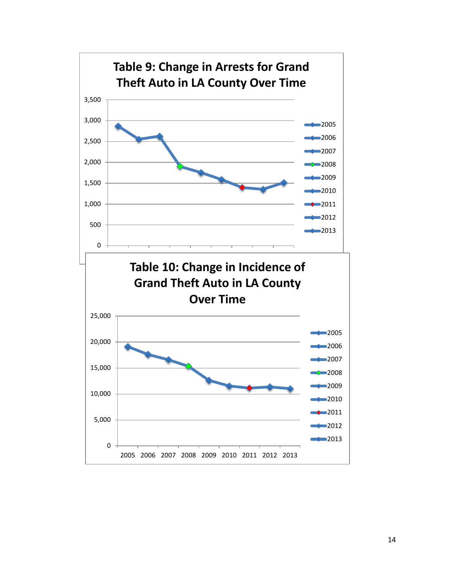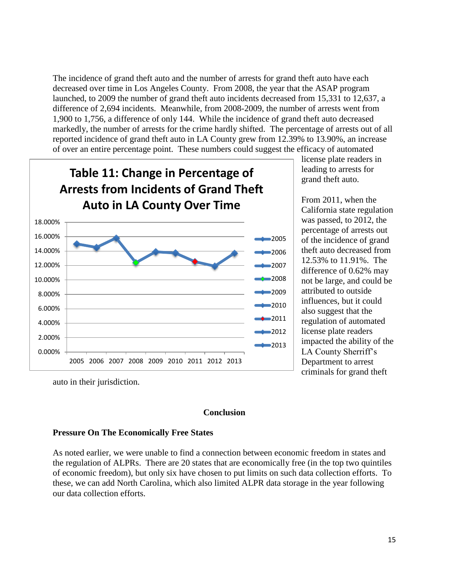The incidence of grand theft auto and the number of arrests for grand theft auto have each decreased over time in Los Angeles County. From 2008, the year that the ASAP program launched, to 2009 the number of grand theft auto incidents decreased from 15,331 to 12,637, a difference of 2,694 incidents. Meanwhile, from 2008-2009, the number of arrests went from 1,900 to 1,756, a difference of only 144. While the incidence of grand theft auto decreased markedly, the number of arrests for the crime hardly shifted. The percentage of arrests out of all reported incidence of grand theft auto in LA County grew from 12.39% to 13.90%, an increase of over an entire percentage point. These numbers could suggest the efficacy of automated



license plate readers in leading to arrests for grand theft auto.

From 2011, when the California state regulation was passed, to 2012, the percentage of arrests out of the incidence of grand theft auto decreased from 12.53% to 11.91%. The difference of 0.62% may not be large, and could be attributed to outside influences, but it could also suggest that the regulation of automated license plate readers impacted the ability of the LA County Sherriff's Department to arrest criminals for grand theft

auto in their jurisdiction.

#### **Conclusion**

#### **Pressure On The Economically Free States**

As noted earlier, we were unable to find a connection between economic freedom in states and the regulation of ALPRs. There are 20 states that are economically free (in the top two quintiles of economic freedom), but only six have chosen to put limits on such data collection efforts. To these, we can add North Carolina, which also limited ALPR data storage in the year following our data collection efforts.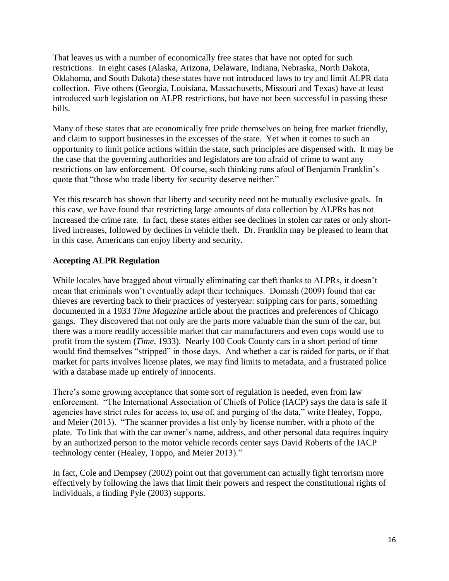That leaves us with a number of economically free states that have not opted for such restrictions. In eight cases (Alaska, Arizona, Delaware, Indiana, Nebraska, North Dakota, Oklahoma, and South Dakota) these states have not introduced laws to try and limit ALPR data collection. Five others (Georgia, Louisiana, Massachusetts, Missouri and Texas) have at least introduced such legislation on ALPR restrictions, but have not been successful in passing these bills.

Many of these states that are economically free pride themselves on being free market friendly, and claim to support businesses in the excesses of the state. Yet when it comes to such an opportunity to limit police actions within the state, such principles are dispensed with. It may be the case that the governing authorities and legislators are too afraid of crime to want any restrictions on law enforcement. Of course, such thinking runs afoul of Benjamin Franklin's quote that "those who trade liberty for security deserve neither."

Yet this research has shown that liberty and security need not be mutually exclusive goals. In this case, we have found that restricting large amounts of data collection by ALPRs has not increased the crime rate. In fact, these states either see declines in stolen car rates or only shortlived increases, followed by declines in vehicle theft. Dr. Franklin may be pleased to learn that in this case, Americans can enjoy liberty and security.

# **Accepting ALPR Regulation**

While locales have bragged about virtually eliminating car theft thanks to ALPRs, it doesn't mean that criminals won't eventually adapt their techniques. Domash (2009) found that car thieves are reverting back to their practices of yesteryear: stripping cars for parts, something documented in a 1933 *Time Magazine* article about the practices and preferences of Chicago gangs. They discovered that not only are the parts more valuable than the sum of the car, but there was a more readily accessible market that car manufacturers and even cops would use to profit from the system (*Time*, 1933). Nearly 100 Cook County cars in a short period of time would find themselves "stripped" in those days. And whether a car is raided for parts, or if that market for parts involves license plates, we may find limits to metadata, and a frustrated police with a database made up entirely of innocents.

There's some growing acceptance that some sort of regulation is needed, even from law enforcement. "The International Association of Chiefs of Police (IACP) says the data is safe if agencies have strict rules for access to, use of, and purging of the data," write Healey, Toppo, and Meier (2013). "The scanner provides a list only by license number, with a photo of the plate. To link that with the car owner's name, address, and other personal data requires inquiry by an authorized person to the motor vehicle records center says David Roberts of the IACP technology center (Healey, Toppo, and Meier 2013)."

In fact, Cole and Dempsey (2002) point out that government can actually fight terrorism more effectively by following the laws that limit their powers and respect the constitutional rights of individuals, a finding Pyle (2003) supports.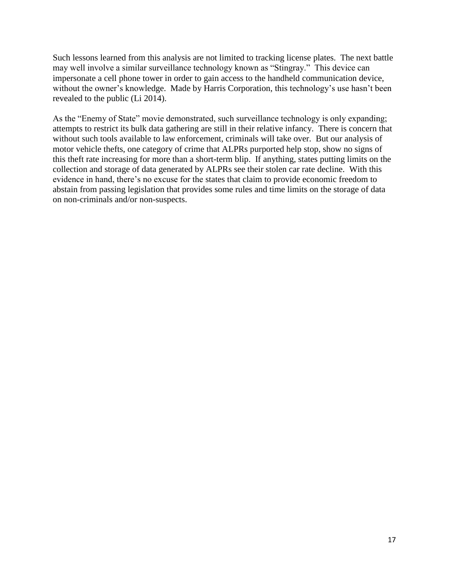Such lessons learned from this analysis are not limited to tracking license plates. The next battle may well involve a similar surveillance technology known as "Stingray." This device can impersonate a cell phone tower in order to gain access to the handheld communication device, without the owner's knowledge. Made by Harris Corporation, this technology's use hasn't been revealed to the public (Li 2014).

As the "Enemy of State" movie demonstrated, such surveillance technology is only expanding; attempts to restrict its bulk data gathering are still in their relative infancy. There is concern that without such tools available to law enforcement, criminals will take over. But our analysis of motor vehicle thefts, one category of crime that ALPRs purported help stop, show no signs of this theft rate increasing for more than a short-term blip. If anything, states putting limits on the collection and storage of data generated by ALPRs see their stolen car rate decline. With this evidence in hand, there's no excuse for the states that claim to provide economic freedom to abstain from passing legislation that provides some rules and time limits on the storage of data on non-criminals and/or non-suspects.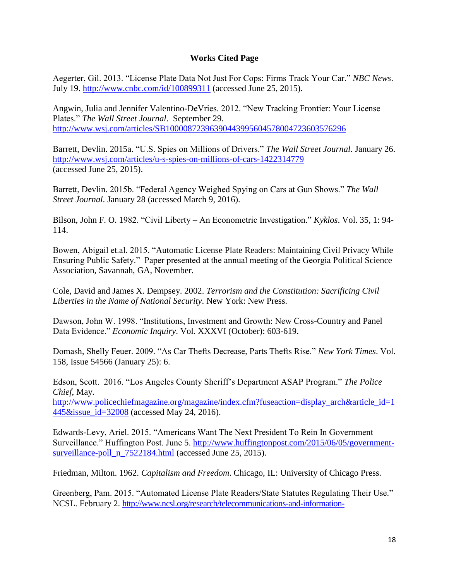## **Works Cited Page**

Aegerter, Gil. 2013. "License Plate Data Not Just For Cops: Firms Track Your Car." *NBC News*. July 19.<http://www.cnbc.com/id/100899311> (accessed June 25, 2015).

Angwin, Julia and Jennifer Valentino-DeVries. 2012. "New Tracking Frontier: Your License Plates." *The Wall Street Journal*. September 29. <http://www.wsj.com/articles/SB10000872396390443995604578004723603576296>

Barrett, Devlin. 2015a. "U.S. Spies on Millions of Drivers." *The Wall Street Journal*. January 26. <http://www.wsj.com/articles/u-s-spies-on-millions-of-cars-1422314779> (accessed June 25, 2015).

Barrett, Devlin. 2015b. "Federal Agency Weighed Spying on Cars at Gun Shows." *The Wall Street Journal*. January 28 (accessed March 9, 2016).

Bilson, John F. O. 1982. "Civil Liberty – An Econometric Investigation." *Kyklos*. Vol. 35, 1: 94- 114.

Bowen, Abigail et.al. 2015. "Automatic License Plate Readers: Maintaining Civil Privacy While Ensuring Public Safety." Paper presented at the annual meeting of the Georgia Political Science Association, Savannah, GA, November.

Cole, David and James X. Dempsey. 2002. *Terrorism and the Constitution: Sacrificing Civil Liberties in the Name of National Security*. New York: New Press.

Dawson, John W. 1998. "Institutions, Investment and Growth: New Cross-Country and Panel Data Evidence." *Economic Inquiry*. Vol. XXXVI (October): 603-619.

Domash, Shelly Feuer. 2009. "As Car Thefts Decrease, Parts Thefts Rise." *New York Times*. Vol. 158, Issue 54566 (January 25): 6.

Edson, Scott. 2016. "Los Angeles County Sheriff's Department ASAP Program." *The Police Chief*, May.

[http://www.policechiefmagazine.org/magazine/index.cfm?fuseaction=display\\_arch&article\\_id=1](http://www.policechiefmagazine.org/magazine/index.cfm?fuseaction=display_arch&article_id=1445&issue_id=32008) [445&issue\\_id=32008](http://www.policechiefmagazine.org/magazine/index.cfm?fuseaction=display_arch&article_id=1445&issue_id=32008) (accessed May 24, 2016).

Edwards-Levy, Ariel. 2015. "Americans Want The Next President To Rein In Government Surveillance." Huffington Post. June 5. [http://www.huffingtonpost.com/2015/06/05/government](http://www.huffingtonpost.com/2015/06/05/government-surveillance-poll_n_7522184.html)[surveillance-poll\\_n\\_7522184.html](http://www.huffingtonpost.com/2015/06/05/government-surveillance-poll_n_7522184.html) (accessed June 25, 2015).

Friedman, Milton. 1962. *Capitalism and Freedom*. Chicago, IL: University of Chicago Press.

Greenberg, Pam. 2015. "Automated License Plate Readers/State Statutes Regulating Their Use." NCSL. February 2. [http://www.ncsl.org/research/telecommunications-and-information-](http://www.ncsl.org/research/telecommunications-and-information-technology/state-statutes-regulating-the-use-of-automated-license-plade-readers-alpr-or-alpr-data.aspx)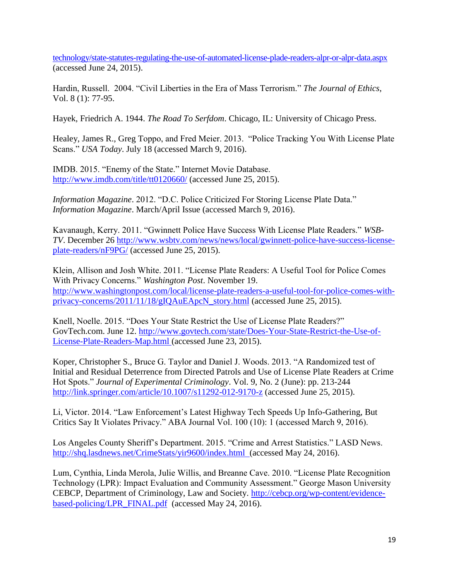[technology/state-statutes-regulating-the-use-of-automated-license-plade-readers-alpr-or-alpr-data.aspx](http://www.ncsl.org/research/telecommunications-and-information-technology/state-statutes-regulating-the-use-of-automated-license-plade-readers-alpr-or-alpr-data.aspx) (accessed June 24, 2015).

Hardin, Russell. 2004. "Civil Liberties in the Era of Mass Terrorism." *The Journal of Ethics*, Vol. 8 (1): 77-95.

Hayek, Friedrich A. 1944. *The Road To Serfdom*. Chicago, IL: University of Chicago Press.

Healey, James R., Greg Toppo, and Fred Meier. 2013. "Police Tracking You With License Plate Scans." *USA Today*. July 18 (accessed March 9, 2016).

IMDB. 2015. "Enemy of the State." Internet Movie Database. <http://www.imdb.com/title/tt0120660/> (accessed June 25, 2015).

*Information Magazine*. 2012. "D.C. Police Criticized For Storing License Plate Data." *Information Magazine*. March/April Issue (accessed March 9, 2016).

Kavanaugh, Kerry. 2011. "Gwinnett Police Have Success With License Plate Readers." *WSB-TV*. December 26 [http://www.wsbtv.com/news/news/local/gwinnett-police-have-success-license](http://www.wsbtv.com/news/news/local/gwinnett-police-have-success-license-plate-readers/nF9PG/)[plate-readers/nF9PG/](http://www.wsbtv.com/news/news/local/gwinnett-police-have-success-license-plate-readers/nF9PG/) (accessed June 25, 2015).

Klein, Allison and Josh White. 2011. "License Plate Readers: A Useful Tool for Police Comes With Privacy Concerns." *Washington Post*. November 19. [http://www.washingtonpost.com/local/license-plate-readers-a-useful-tool-for-police-comes-with](http://www.washingtonpost.com/local/license-plate-readers-a-useful-tool-for-police-comes-with-privacy-concerns/2011/11/18/gIQAuEApcN_story.html)[privacy-concerns/2011/11/18/gIQAuEApcN\\_story.html](http://www.washingtonpost.com/local/license-plate-readers-a-useful-tool-for-police-comes-with-privacy-concerns/2011/11/18/gIQAuEApcN_story.html) (accessed June 25, 2015).

Knell, Noelle. 2015. "Does Your State Restrict the Use of License Plate Readers?" GovTech.com. June 12. [http://www.govtech.com/state/Does-Your-State-Restrict-the-Use-of-](http://www.govtech.com/state/Does-Your-State-Restrict-the-Use-of-License-Plate-Readers-Map.html)[License-Plate-Readers-Map.html](http://www.govtech.com/state/Does-Your-State-Restrict-the-Use-of-License-Plate-Readers-Map.html) (accessed June 23, 2015).

Koper, Christopher S., Bruce G. Taylor and Daniel J. Woods. 2013. "A Randomized test of Initial and Residual Deterrence from Directed Patrols and Use of License Plate Readers at Crime Hot Spots." *Journal of Experimental Criminology*. Vol. 9, No. 2 (June): pp. 213-244 <http://link.springer.com/article/10.1007/s11292-012-9170-z> (accessed June 25, 2015).

Li, Victor. 2014. "Law Enforcement's Latest Highway Tech Speeds Up Info-Gathering, But Critics Say It Violates Privacy." ABA Journal Vol. 100 (10): 1 (accessed March 9, 2016).

Los Angeles County Sheriff's Department. 2015. "Crime and Arrest Statistics." LASD News. <http://shq.lasdnews.net/CrimeStats/yir9600/index.html>(accessed May 24, 2016).

Lum, Cynthia, Linda Merola, Julie Willis, and Breanne Cave. 2010. "License Plate Recognition Technology (LPR): Impact Evaluation and Community Assessment." George Mason University CEBCP, Department of Criminology, Law and Society. [http://cebcp.org/wp-content/evidence](http://cebcp.org/wp-content/evidence-based-policing/LPR_FINAL.pdf)[based-policing/LPR\\_FINAL.pdf](http://cebcp.org/wp-content/evidence-based-policing/LPR_FINAL.pdf) (accessed May 24, 2016).